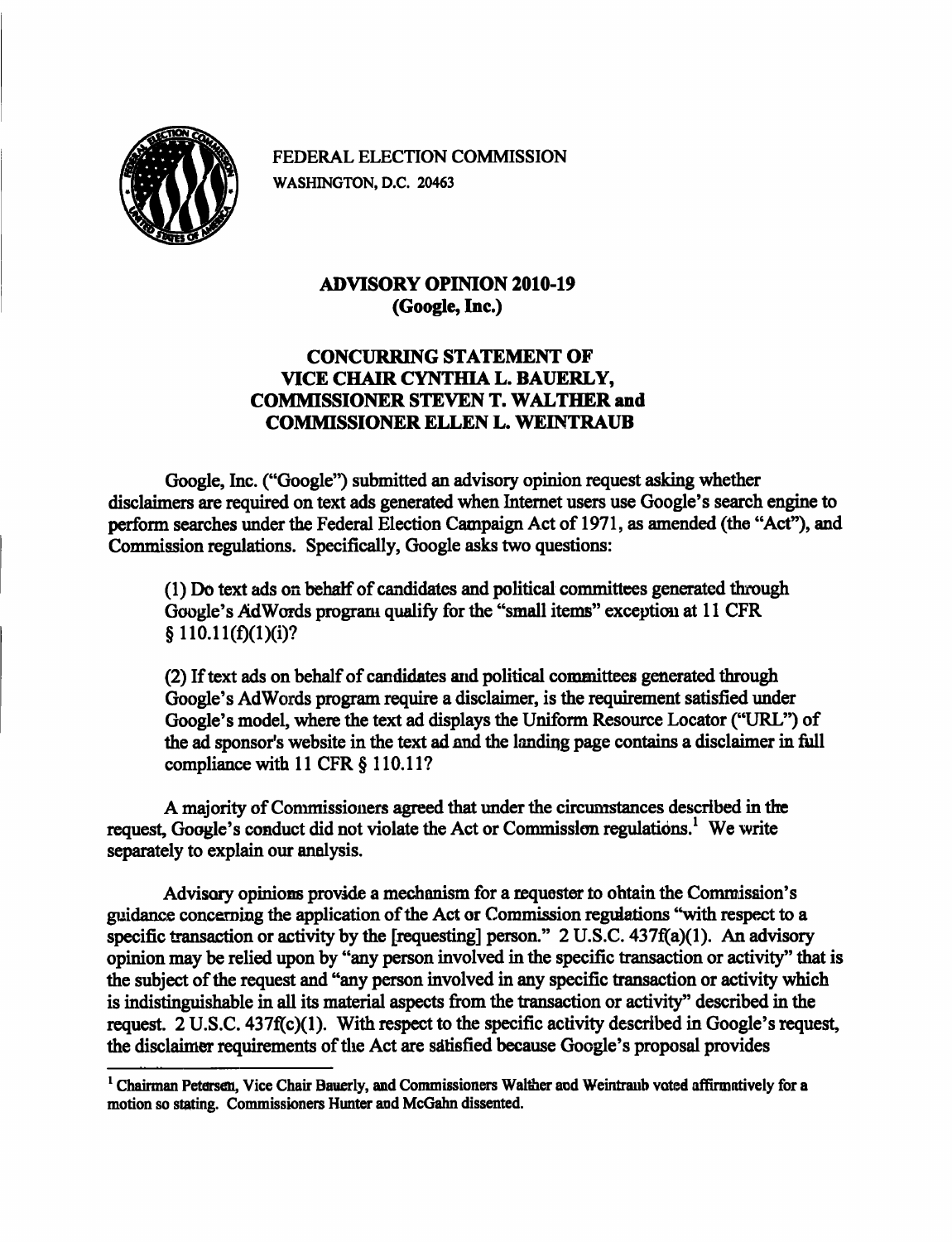

FEDERAL ELECTION COMMISSION WASHINGTON, D.C. 20463

## **ADVISORY OPINION 2010-19 (Google, Inc.)**

## **CONCURRING STATEMENT OF VICE CHAIR CYNTHIA L. BAUERLY, COMMISSIONER STEVEN T. WALTHER and COMMISSIONER ELLEN L. WEINTRAUB**

Google, Inc. ("Google") submitted an advisory opinion request asking whether disclaimers are required on text ads generated when Internet users use Google's search engine to perform searches under the Federal Election Campaign Act of 1971, as amended (the "Act"), and Commission regulations. Specifically, Google asks two questions:

(1) Do text ads on behalf of candidates and political committees generated through Google's AdWords program qualify for the "small items" exception at 11 CFR  $§ 110.11(f)(1)(i)?$ 

(2) If text ads on behalf of candidates and political committees generated through Google's AdWords program require a disclaimer, is the requirement satisfied under Google's model, where the text ad displays the Uniform Resource Locator ("URL") of the ad sponsor's website in the text ad and the landing page contains a disclaimer in full compliance with  $11$  CFR  $\S$  110.11?

A majority of Commissioners agreed that under the circumstances described in the request, Google's conduct did not violate the Act or Commission regulations.<sup>1</sup> We write separately to explain our analysis.

Advisory opinions provide a mechanism for a requester to obtain the Commission's guidance concerning the application of the Act or Commission regulations "with respect to a specific transaction or activity by the [requesting] person." 2 U.S.C. 437f(a)(l). An advisory opinion may be relied upon by "any person involved in the specific transaction or activity" that is the subject of the request and "any person involved in any specific transaction or activity which is indistinguishable in all its material aspects from the transaction or activity" described in the request. 2 U.S.C. 437f(c)(l). With respect to the specific activity described in Google's request, the disclaimer requirements of the Act are satisfied because Google's proposal provides

 $<sup>1</sup>$ Chairman Petersen, Vice Chair Bauerly, and Commissioners Walther and Weintraub voted affirmatively for a</sup> motion so stating. Commissioners Hunter and McGahn dissented.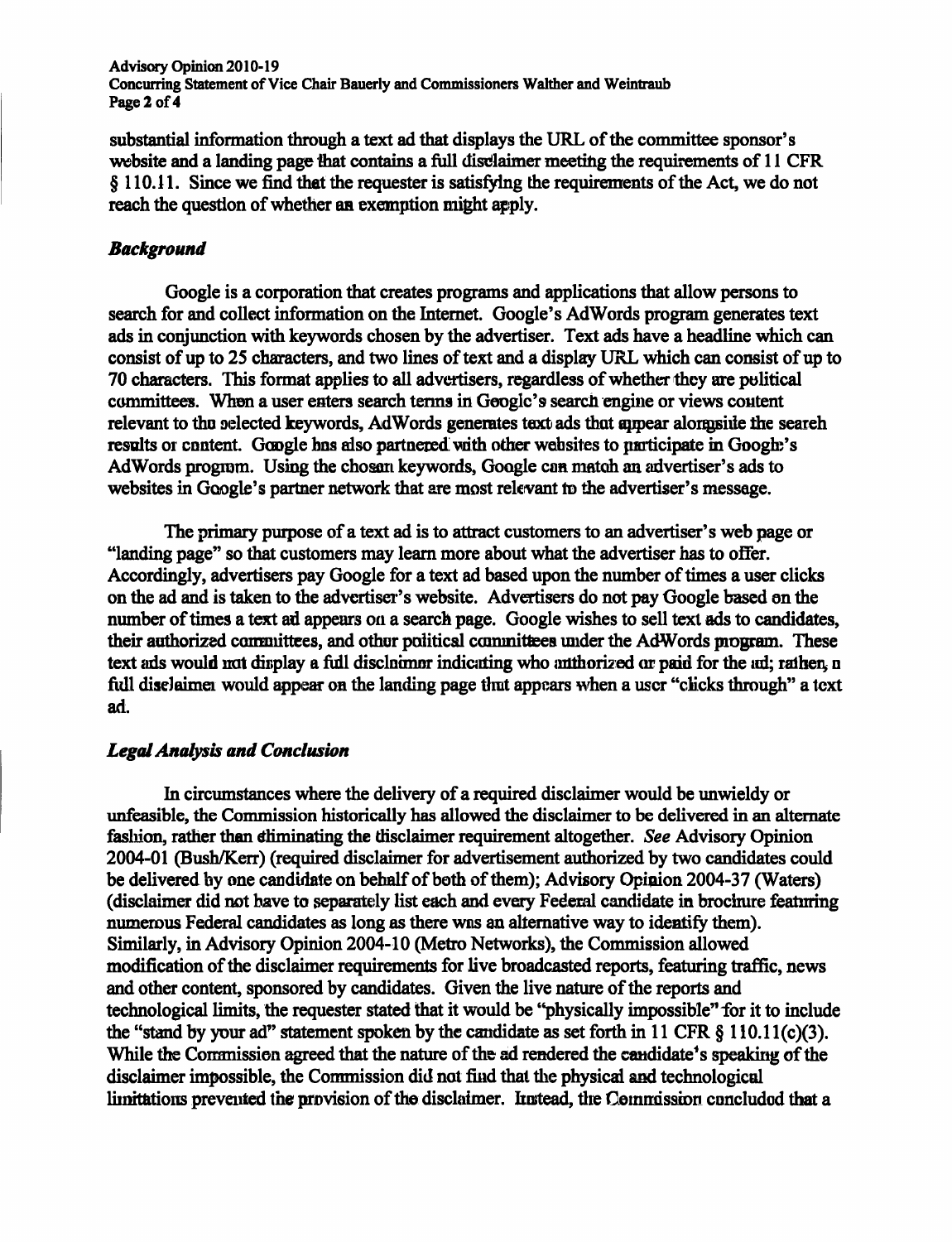Advisory Opinion 2010-19 Concurring Statement of Vice Chair Bauerly and Commissioners Walther and Weintraub Page 2 of 4

substantial information through a text ad that displays the URL of the committee sponsor's website and a landing page that contains a full disclaimer meeting the requirements of 11 CFR § 110.11. Since we find that the requester is satisfying the requirements of the Act, we do not reach the question of whether an exemption might apply.

## *Background*

Google is a corporation that creates programs and applications that allow persons to search for and collect information on the Intemet. Google's AdWords program generates text ads in conjunction with keywords chosen by the advertiser. Text ads have a headline which can consist of up to 25 characters, and two lines of text and a display URL which can consist of up to 70 characters. This format applies to all advertisers, regardless of whether they are political committees. When a user enters search terms in Google's search engine or views content relevant to the selected keywords, AdWords generates text ads that appear alongside the search results or content. Google has also partnered with other websites to participate in Google's AdWords program. Using the chosan keywords, Google can match an advertiser's ads to websites in Google's partner network that are most relevant to the advertiser's message.

The primary purpose of a text ad is to attract customers to an advertiser's web page or "landing page" so that customers may leam more about what the advertiser has to offer. Accordingly, advertisers pay Google for a text ad based upon the number of times a user clicks on the ad and is taken to the advertiser's website. Advertisers do not pay Google based on the number of times a text ad appears on a search page. Google wishes to sell text ads to candidates, their authorized committees, and other political committees under the AdWords program. These text ads would not display a full disclaimer indicating who authorized or paid for the ad; rather, a fidl disclaimer would appear on the landing page that appears when a user "clicks through" a text ad.

## *Legal Analysis and Conclusion*

In circumstances where the delivery of a required disclaimer would be unwieldy or unfeasible, the Commission historically has allowed the disclaimer to be delivered in an alternate fashion, rather than eliminating the this claimer requirement altogether. See Advisory Opinion 2004-01 (Bush/Kerr) (required disclaimer for advertisement authorized by two candidates could be delivered by one candidate on behalf of both of them); Advisory Opinion 2004-37 (Waters) (disclaimer did not have to separately list each and every Federal candidate in brochure featuring numerous Federal candidates as long as there was an altemative way to identify them). Similarly, in Advisory Opinion 2004-10 (Metro Networks), the Commission allowed modification of the disclaimer requirements for live broadcasted reports, featuring traffic, news and other content, sponsored by candidates. Given the live nature of the reports and technological limits, the requester stated that it would be "physically impossible" for it to include the "stand by your ad" statement spoken by the candidate as set forth in 11 CFR  $\S$  110.11(c)(3). While the Commission agreed that the nature of the ad rendered the candidate's speaking of the disclaimer impossible, the Commission did not find that the physical and technological limitations prevented the provision of the disclaimer. Instead, the Commission concluded that a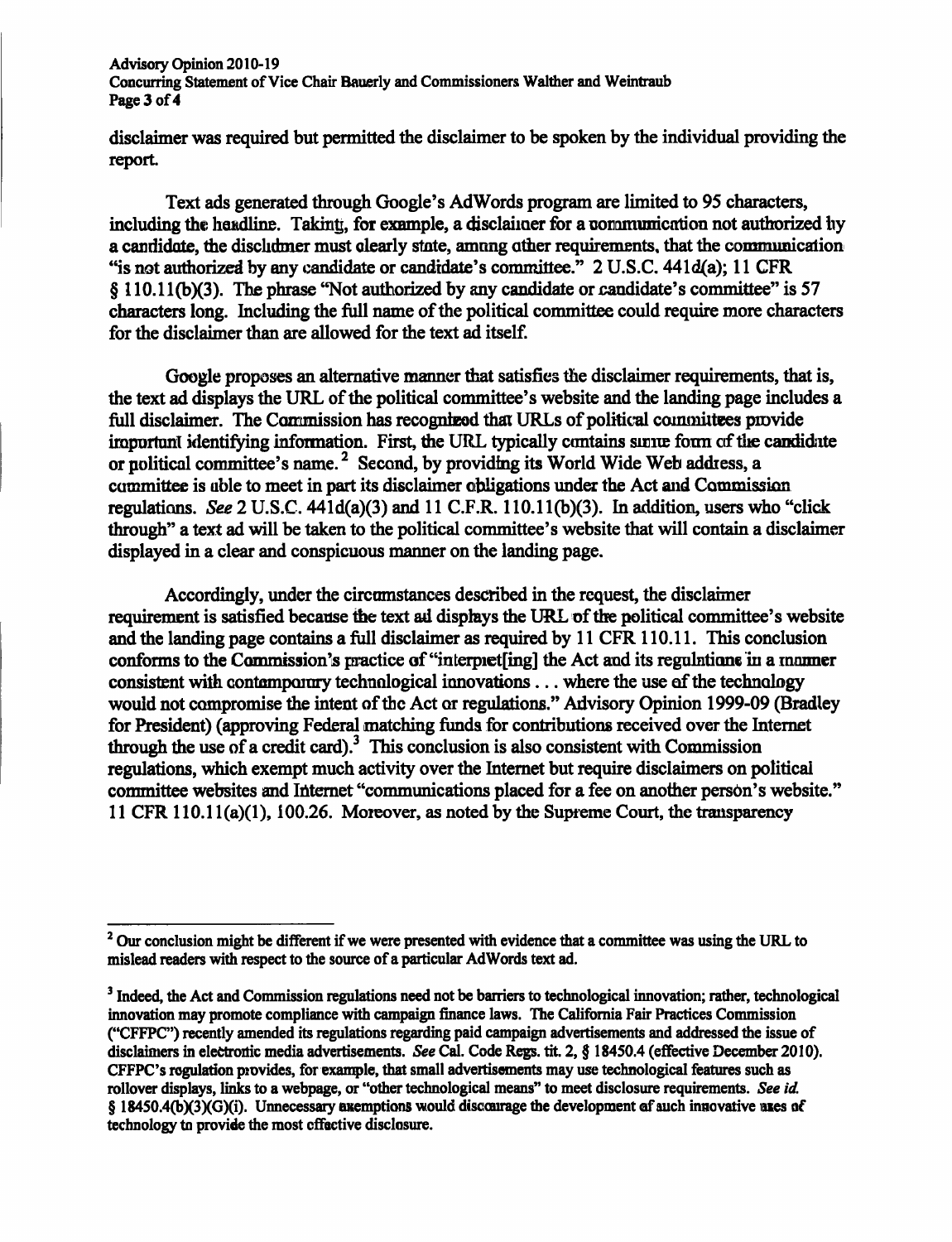**Advisory Opinion 2010-19 Concurring Statement of Vice Chair Bauerly and Commissioners Walther and Weintraub Page 3 of 4** 

**disclaimer was required but permitted the disclaimer to be spoken by the individual providing the report.** 

**Text ads generated through Google's AdWords program are limited to 95 characters,**  including the headline. Takinti, for example, a disclaimer for a communication not authorized hy **a candidate, the disclaimer must clearly state, among other requirements, that the communication**  "is not authorized by any candidate or candidate's committee." 2 U.S.C. 441d(a); 11 CFR **§ 110.11(b)(3). The phrase "Not authorized by any candidate or candidate's cominittee" is 57 characters long. Including the fidl name of the political committee could require more characters for the disclaimer than are allowed for the text ad itself.** 

**Google proposes an altemative manner that satisfies the disclaimer requirements, that is,**  the text ad displays the URL of the political committee's website and the landing page includes a full disclaimer. The Commission has recognized that URLs of political committees provide **important identifying information. First, the URL typically contains some form of the candidate**  or political committee's name.<sup>2</sup> Second, by providing its World Wide Web address, a committee is able to meet in part its disclaimer obligations under the Act and Commission **regulations. See 2 U.S.C. 441d(a)(3) and 11 C.F.R. 110.11(b)(3). In addition, users who "click through" a text ad will be taken to the political committee's website that will contain a disclaimer displayed in a clear and conspicuous manner on the landing page.** 

**Accordingly, under the circumstances described in the request, the disclaimer**  requirement is satisfied because the text ad displays the URL of the political committee's website **and the landing page contains a fidl disclaimer as required by 11 CFR 110.11. This conclusion conforms to the Commission's practice of "interpret[ing] the Act and its regulations in a manner consistent with contemporary technological innovations... where the use of the technology would not compromise the intent of the Act or regulations." Advisory Opinion 1999-09 (Bradley for President) (approving Federal matching funds for contributions received over the Intemet through the use of a credit card).^ This conclusion is also consistent with Commission regulations, which exempt much activity over the Intemet but require disclaimers on political committee websites and Intemet "communications placed for a fee on another person's website." 11 CFR 110.11(a)(1), 100.26. Moreover, as noted by the Supreme Court, the transparency** 

<sup>&</sup>lt;sup>2</sup> Our conclusion might be different if we were presented with evidence that a committee was using the URL to **mislead readers with respect to the source of a particular AdWords text ad.** 

<sup>&</sup>lt;sup>3</sup> Indeed, the Act and Commission regulations need not be barriers to technological innovation; rather, technological **innovation may promote compliance with campaign finance laws. The Califomia Fair Practices Commission ("CFFPC") recently amended its regulations regarding paid campaign advertisements and addressed the issue of disclaimers in electronic media advertisements. See Cad. Code Regs. tit. 2, § 18450.4 (effective December 2010). CFFPC's regulation provides, for example, that small advertisements may use technological features such as rollover displays, links to a webpage, or "other technological means" to meet disclosure requirements. See id**  § 18450.4(b)(3)(G)(i). Unnecessary exemptions would discourage the development of such innovative uses of **technology to provide the most effective disclosure.**